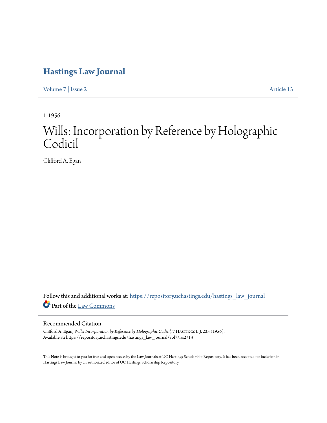## **[Hastings Law Journal](https://repository.uchastings.edu/hastings_law_journal?utm_source=repository.uchastings.edu%2Fhastings_law_journal%2Fvol7%2Fiss2%2F13&utm_medium=PDF&utm_campaign=PDFCoverPages)**

[Volume 7](https://repository.uchastings.edu/hastings_law_journal/vol7?utm_source=repository.uchastings.edu%2Fhastings_law_journal%2Fvol7%2Fiss2%2F13&utm_medium=PDF&utm_campaign=PDFCoverPages) | [Issue 2](https://repository.uchastings.edu/hastings_law_journal/vol7/iss2?utm_source=repository.uchastings.edu%2Fhastings_law_journal%2Fvol7%2Fiss2%2F13&utm_medium=PDF&utm_campaign=PDFCoverPages) [Article 13](https://repository.uchastings.edu/hastings_law_journal/vol7/iss2/13?utm_source=repository.uchastings.edu%2Fhastings_law_journal%2Fvol7%2Fiss2%2F13&utm_medium=PDF&utm_campaign=PDFCoverPages)

1-1956

## Wills: Incorporation by Reference by Holographic Codicil

Clifford A. Egan

Follow this and additional works at: [https://repository.uchastings.edu/hastings\\_law\\_journal](https://repository.uchastings.edu/hastings_law_journal?utm_source=repository.uchastings.edu%2Fhastings_law_journal%2Fvol7%2Fiss2%2F13&utm_medium=PDF&utm_campaign=PDFCoverPages) Part of the [Law Commons](http://network.bepress.com/hgg/discipline/578?utm_source=repository.uchastings.edu%2Fhastings_law_journal%2Fvol7%2Fiss2%2F13&utm_medium=PDF&utm_campaign=PDFCoverPages)

## Recommended Citation

Clifford A. Egan, *Wills: Incorporation by Reference by Holographic Codicil*, 7 Hastings L.J. 225 (1956). Available at: https://repository.uchastings.edu/hastings\_law\_journal/vol7/iss2/13

This Note is brought to you for free and open access by the Law Journals at UC Hastings Scholarship Repository. It has been accepted for inclusion in Hastings Law Journal by an authorized editor of UC Hastings Scholarship Repository.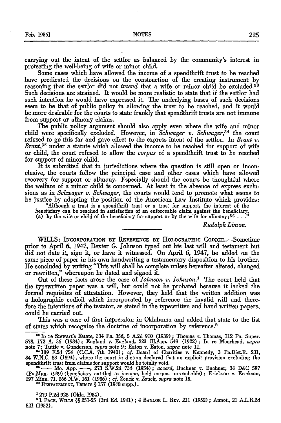carrying out the intent of the settlor as balanced by the community's interest in protecting the well-being of wife or minor child.

Some cases which have allowed the income of a spendthrift trust to be reached have predicated the decisions on the construction of the creating instrument by reasoning that the settlor did not *intend* that a wife or minor child be excluded.<sup>33</sup> Such decisions are strained. It would be more realistic to state that **if** the settlor had such intention he would have expressed it. The underlying bases of such decisions seem to be that of public policy in allowing the trust to be reached, and it would be more desirable for the courts to state frankly that spendthrift trusts are not immune from support or alimony claims.

The public policy argument should also apply even where the wife and minor child were specifically excluded. However, in *Schwager v. Schwager*,<sup>34</sup> the court refused to go this far and gave effect to the express intent of the settlor. In *Brant v. Brant*,<sup>35</sup> under a statute which allowed the income to be reached for support of wife or child, the court refused to allow the *corpus* of a spendthrift trust to be reached for support of minor child.

It is submitted that in jurisdictions where the question is still open or inconclusive, the courts follow the principal case and other cases which have allowed recovery for support or alimony. Especially should the courts be thoughtful where the welfare of a minor child is concerned. At least in the absence of express exclusions as in *Schwager v. Schwager,* the courts would tend to promote what seems to be justice by adopting the position of the American Law Institute which provides:

"Although a trust is a spendthrift trust or a trust for support, the interest of the beneficiary can be reached in satisfaction of an enforceable claim against the beneficiary, (a) **by** the wife or child of the beneficiary for support or **by** the wife for alimony; <sup>3</sup> <sup>6</sup>. **. ."**

*Rudolph Limon.*

WILLS: INCORPORATION BY REFERENCE BY HOLOGRAPHIC CODICIL.-Sometime prior to April 6, 1947, Dexter G. Johnson typed out his last will and testament but did not date it, sign it, or have it witnessed. On April 6, 1947, he added on the same piece of paper in his own handwriting a testamentary disposition to his brother. He concluded by writing "This will shall be complete unless hereafter altered, changed or rewritten," whereupon he dated and signed it.

Out of these facts arose the case of *Johnson v. Johnson."* The court held that the typewritten paper was a will, but could not be probated because it lacked the formal requisites of attestation. However, they held that the written addition was a holographic codicil which incorporated by reference the invalid will and therefore the intentions of the testator, as stated in the typewritten and hand written papers, could be carried out.

This was a case of first impression in Oklahoma and added that state to the list of states which recognize the doctrine of incorporation by reference.<sup>2</sup>

*as In* re Stewart's Estate, 334 Pa. 356, 5 **A.2d 910** (1939) **;** Thomas v. Thomas, 112 Pa. Super. 578, 172 A. 36 (1934); England v. England, 223 Ill.App. 549 (1922); In re Moorhead, *supra*<br>note 7; Tuttle v. Gunderson, *supra* note 9; Eaton v. Eaton, *supra* note 11.

*81109* F.2d 754 (C.C.A. 7th 1940); *cf.* Board of Charities v. Kennedy, **3** Pa.Dist.R. 231, 34 W.N.C. 83 (1894), where the court in dictum declared that an explicit provision excluding the spendthrift trust from claims for support would be totally void.<br><sup>35</sup> — Mo. App. — 273 S.W.2d 734 (1954); *accord*, Buchner v

(Pa.Mun, 1939) (beneficiary entitled to income, held corpus unreachable) **;** Erickson v. Erickson, 197 Minn. 71, *266* N.W. 161 (1936) **;** cf. Zouck v. Zouck, *supra* note 15.

**R1ESTATEMENT,** TRUSTS § **157** (1948 supp.).

**'279 P.2d 928** (Okla. 1954).

**21 PACE,** Wu.Ls §§ 251-55 (3rd Ed. 1941) ; 4 BAYLOR L. REv. 211 (1952) **;** Annot., 21 A.L.R.2d **821** (1952).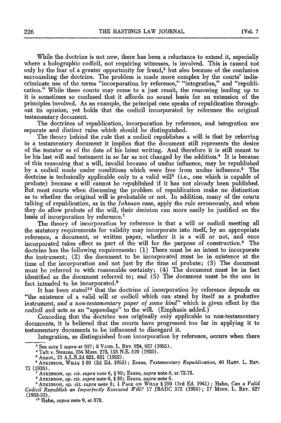While the doctrine is not new, there has been a reluctance to extend it, especially where a holographic codicil, not requiring witnesses, is involved. This is caused not only by the fear of a greater opportunity for fraud,<sup>3</sup> but also because of the confusion surrounding the doctrine. The problem is made more complex by the courts' indiscriminate use of the terms "incorporation by reference," "integration," and "republication." While these courts may come to a just result, the reasoning leading up to it is sometimes so confused that it affords no sound basis for an extension of the principles involved. As an example, the principal case speaks of republication throughout its opinion, yet holds that the codicil incorporated by reference the original testamentary document.

The doctrines of republication, incorporation by reference, and integration are separate and distinct rules which should be distinguished.

The theory behind the rule that a codicil republishes a will is that by referring to a testamentary document it implies that the document still represents the desire of the testator as of the date of his latest writing. And therefore it is still meant to be his last will and testament in so far as not changed by the addition.<sup>4</sup> It is because of this reasoning that a will, invalid because of undue influence, may be republished by a codicil made under conditions which were free from undue influence.5 The doctrine is technically applicable only to a valid will<sup>6</sup> (i.e., one which is capable of probate) because a will cannot be republished if it has not already been published. But most courts when discussing the problem of republication make no distinction as to whether the original will is probatable or not. In addition, many of the courts talking of republication, as in the *Johnson* case, apply the rule erroneously, and when they do allow probate of the will, their decision can more easily be justified on the basis of incorporation by reference.<sup>7</sup>

The theory of incorporation by reference is that a will or codicil meeting all the statutory requirements for validity may incorporate into itself, by an appropriate reference, a document, or written paper, whether it is a will or not, and once incorporated takes effect as part of the will for the purpose of construction.8 The doctrine has the following requirements: (1) There must be an intent to incorporate the instrument; (2) the document to be incorporated must be in existence at the time of the incorporation and not just by the time of probate; (3) The document must be referred to with reasonable certainty; (4) The document must be in fact identified as the document referred to; and (5) The document must be the one in fact intended to be incorporated.<sup>9</sup>

It has been stated<sup>10</sup> that the doctrine of incorporation by reference depends on "the existence of a valid will or codicil which can stand by itself as a probative instrument, *and a non-testamentary paper of some kind"* which is given effect by the codicil and acts as an "appendage" to the will. (Emphasis added.)

Conceding that the doctrine was originally only applicable to non-testamentary documents, it is believed that the courts have progressed too far in applying it to testamentary documents to be influenced to disregard it.

Integration, as distinguished from incorporation by reference, occurs when there

**'ATKINSON,** *op. cit. supra* note 8; 1 **PAGE ON** WILLS § 250 (3rd **Ed.** 1941) ; Hahn, *Can a Valid Codicil Republish an Imperfectly Executed Will?* 17 JBADC 372 (1950) ; 17 **MINN.** L. R.v. 527 (1932-33).

**"** Hahn, *supra* note 9, at 378.

**<sup>&#</sup>x27;** See note 1 *supra* at 937; 8 **VAND.** L. R.v. 924, 927 (1955).

*<sup>&#</sup>x27;* Taft v. Stearns, 234 Mass. 273, 125 N.E. 570 (1920).

**<sup>&#</sup>x27;** Annot., 21 A.L.R.2d 821, 831 (1952).

**<sup>1</sup> ATKINSON, WILLS** § 89 **(2d Ed. 1953)** ; Evans, *Testamentary Republication,* 40 HARv. L. Rv. 71 (1926).

**ATKINSON,** *op. cit. supra* note 6, § 90; Evans, *supra* note 6, at 72-73.

**<sup>\*</sup> ATKINSON,** *op. cit. supra* **note** 6, § 80; Evans, *supra* note 6.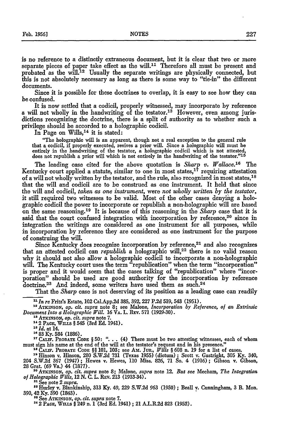is no reference to a distinctly extraneous document, but it is clear that two or more separate pieces of paper take effect as the will.<sup>11</sup> Therefore all must be present and probated as the will.<sup>12</sup> Usually the separate writings are physically connected, but this is not absolutely necessary as long as there is some way to "tie-in" the different documents.

Since it is possible for these doctrines to overlap, it is easy to see how they can be confused.

It is now settled that a codicil, properly witnessed, may incorporate by reference a will not wholly in the handwriting of the testator.<sup>13</sup> However, even among jurisdictions recognizing the doctrine, there is a split of authority as to whether such a privilege should be accorded to a holographic codicil.

In Page on Wills,  $14$  it is stated:

"The holographic will is an apparent, though not a real exception to the general rule that a codicil, if properly executed, revives a prior will. Since a holographic will must he entirely in the handwriting of the testator, a holographic codicil which is not attested, does not republish a prior will which is not entirely in the handwriting of the testator."<sup>15</sup>

The leading case cited for the above quotation is *Sharp v. Wallace.16* The Kentucky court applied a statute, similar to one in most states,  $1^7$  requiring attestation of a will not wholly written by the testator, and the rule, also recognized in most states,<sup>18</sup> that the will and codicil are to be construed as one instrument. It held that since the will and codicil, *taken as one instrument,* were *not wholly written by the testator,* it still required two witnesses to be valid. Most of the other cases denying a holographic codicil the power to incorporate or republish a non-holographic will are based on the same reasoning.<sup>19</sup> It is because of this reasoning in the *Sharp* case that it is said that the court confused integration with incorporation by reference,<sup>20</sup> since in integration the writings are considered as one instrument for all purposes, while in incorporation by reference they are considered as one instrument for the purpose of construing the will.

Since Kentucky does recognize incorporation by reference, $21$  and also recognizes that an attested codicil can *republish* a holographic will,<sup>22</sup> there is no valid reason why it should not also allow a holographic codicil to incorporate a non-holographic will. The Kentucky court uses the term "republication" when the term "incorporation" is proper and it would seem that the cases talking of "republication" where "incorporation" should be used are good authority for the incorporation by reference doctrine.<sup>23</sup> And indeed, some writers have used them as such.<sup>24</sup>

That the *Sharp* case is not deserving of its position as a leading case can readily

*"I In re* Fritz's Estate, 102 Cal.App.2d 385, 392, 227 **P.2d** 539, 543 (1951).

**' <sup>2</sup> ArKINSON,** *op. cit. supra* note **8;** see Malone, *Incorporation by Reference, of an Extrinsic Document Into a Holographic Will. 16* VA. L. REV. 571 (1929-30).

**'8 ATKINSON,** *Op. cit. supra* note **7.**

"2 **PA E,** WILLs *§* 545 (3rd **Ed.** 1941).

*15 Id.* at 14.

**18 83 Ky.** 584 (1886).

<sup>17</sup> CALIF. PROBATE CODE § 50: "... (4) There must be two attesting witnesses, each of whom must sign his name at the end of the will at the testator's request and in his presence." must sign his name at the end of the will at the testator's request and in his presence."<br><sup>18</sup>CALIF. PROBATE CODE §§ 101, 103; see Am. Jun., *Wills* § 608 n. 19 for a list of cases.

**<sup>19</sup>**Hinson v. Hinson, 280 **S.W.2d** 731 (Texas 1955) (dictum) ; Scott v. Gastright, 305 **Ky.** 340,

204 S.W.2d **367** (1947); Hewes v. Hewes, **110** Miss. 826, 71 So. 4 (1916); Gibson v. Gibson, 28 Grat. (69 Va.) 44 (1877). **'o** ATKINSON, *op. cit. supra* note **8;** Malone, *supra* note 12. *But see* Mecham, *The Integration*

*of Holographic Wills,* 12 N. **C.** L. REv. 213 (1933-34).

"See note 2 *supra.*

"Hurley v. Blankinship, 313 Ky. 49, 229 S.W.2d 963 (1950) ; Beall v. Cunningham, 3 B. Mon. 390, 42 **Ky.** 390 (1843). " See **ATKINSON,** *op. cit. supra* note 7. 22 PArE, **WILLS §** 249 n. 1 (3rd Ed. 1941) ; 21 A.L.R.2d 823 (1952).